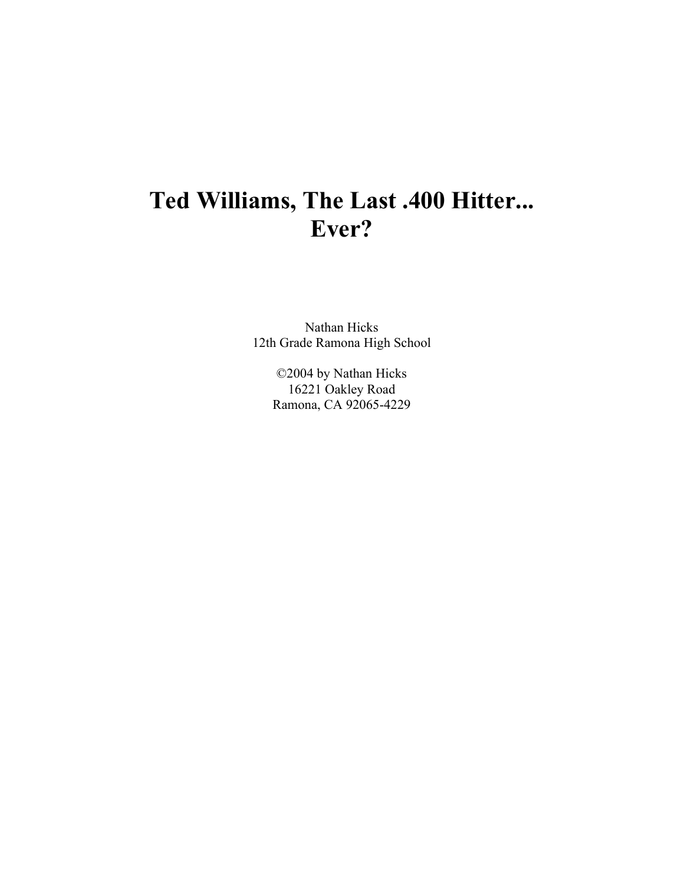## Ted Williams, The Last .400 Hitter... Ever?

Nathan Hicks 12th Grade Ramona High School

> ©2004 by Nathan Hicks 16221 Oakley Road Ramona, CA 92065-4229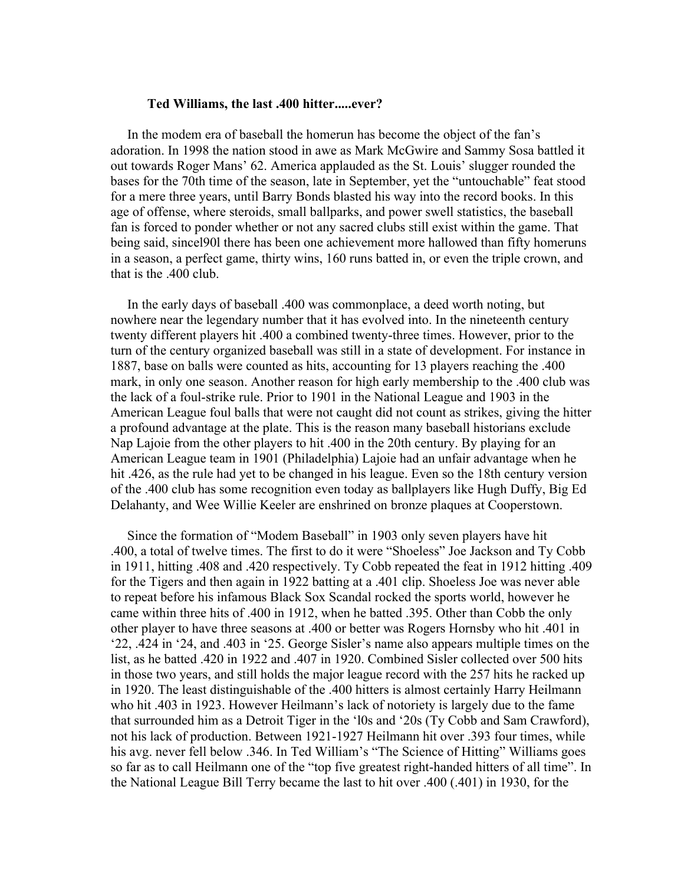## Ted Williams, the last .400 hitter.....ever?

In the modem era of baseball the homerun has become the object of the fan's adoration. In 1998 the nation stood in awe as Mark McGwire and Sammy Sosa battled it out towards Roger Mans' 62. America applauded as the St. Louis' slugger rounded the bases for the 70th time of the season, late in September, yet the "untouchable" feat stood for a mere three years, until Barry Bonds blasted his way into the record books. In this age of offense, where steroids, small ballparks, and power swell statistics, the baseball fan is forced to ponder whether or not any sacred clubs still exist within the game. That being said, since 1901 there has been one achievement more hallowed than fifty homeruns in a season, a perfect game, thirty wins, 160 runs batted in, or even the triple crown, and that is the .400 club.

In the early days of baseball .400 was commonplace, a deed worth noting, but nowhere near the legendary number that it has evolved into. In the nineteenth century twenty different players hit .400 a combined twenty-three times. However, prior to the turn of the century organized baseball was still in a state of development. For instance in 1887, base on balls were counted as hits, accounting for 13 players reaching the .400 mark, in only one season. Another reason for high early membership to the .400 club was the lack of a foul-strike rule. Prior to 1901 in the National League and 1903 in the American League foul balls that were not caught did not count as strikes, giving the hitter a profound advantage at the plate. This is the reason many baseball historians exclude Nap Lajoie from the other players to hit .400 in the 20th century. By playing for an American League team in 1901 (Philadelphia) Lajoie had an unfair advantage when he hit .426, as the rule had yet to be changed in his league. Even so the 18th century version of the .400 club has some recognition even today as ballplayers like Hugh Duffy, Big Ed Delahanty, and Wee Willie Keeler are enshrined on bronze plaques at Cooperstown.

Since the formation of "Modem Baseball" in 1903 only seven players have hit .400, a total of twelve times. The first to do it were "Shoeless" Joe Jackson and Ty Cobb in 1911, hitting .408 and .420 respectively. Ty Cobb repeated the feat in 1912 hitting .409 for the Tigers and then again in 1922 batting at a .401 clip. Shoeless Joe was never able to repeat before his infamous Black Sox Scandal rocked the sports world, however he came within three hits of .400 in 1912, when he batted .395. Other than Cobb the only other player to have three seasons at .400 or better was Rogers Hornsby who hit .401 in '22, .424 in '24, and .403 in '25. George Sisler's name also appears multiple times on the list, as he batted .420 in 1922 and .407 in 1920. Combined Sisler collected over 500 hits in those two years, and still holds the major league record with the 257 hits he racked up in 1920. The least distinguishable of the .400 hitters is almost certainly Harry Heilmann who hit .403 in 1923. However Heilmann's lack of notoriety is largely due to the fame that surrounded him as a Detroit Tiger in the 'l0s and '20s (Ty Cobb and Sam Crawford), not his lack of production. Between 1921-1927 Heilmann hit over .393 four times, while his avg. never fell below .346. In Ted William's "The Science of Hitting" Williams goes so far as to call Heilmann one of the "top five greatest right-handed hitters of all time". In the National League Bill Terry became the last to hit over .400 (.401) in 1930, for the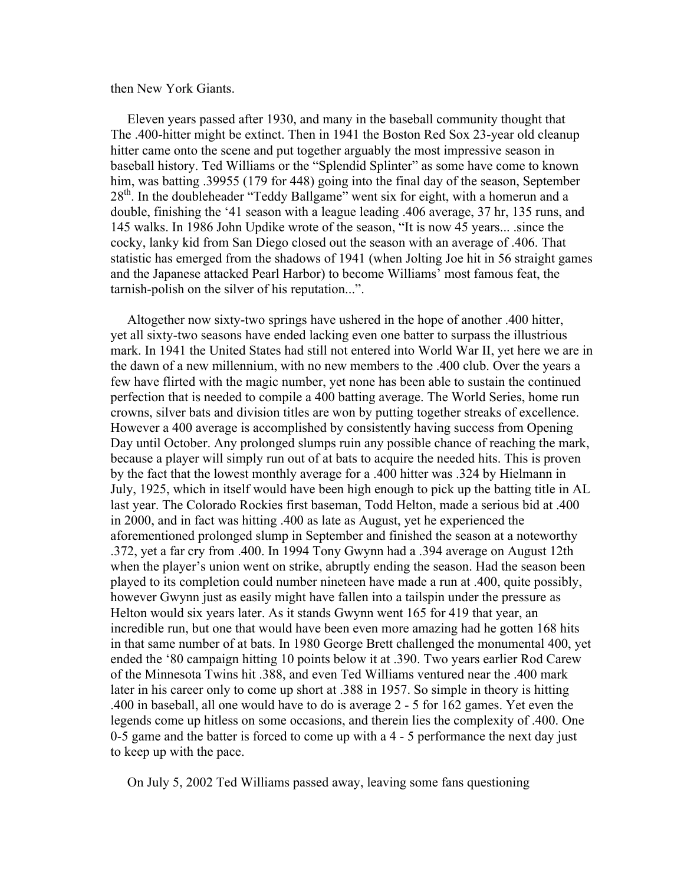## then New York Giants.

Eleven years passed after 1930, and many in the baseball community thought that The .400-hitter might be extinct. Then in 1941 the Boston Red Sox 23-year old cleanup hitter came onto the scene and put together arguably the most impressive season in baseball history. Ted Williams or the "Splendid Splinter" as some have come to known him, was batting .39955 (179 for 448) going into the final day of the season, September  $28<sup>th</sup>$ . In the doubleheader "Teddy Ballgame" went six for eight, with a homerun and a double, finishing the '41 season with a league leading .406 average, 37 hr, 135 runs, and 145 walks. In 1986 John Updike wrote of the season, "It is now 45 years... since the cocky, lanky kid from San Diego closed out the season with an average of 406. That statistic has emerged from the shadows of 1941 (when Jolting Joe hit in 56 straight games and the Japanese attacked Pearl Harbor) to become Williams' most famous feat, the tarnish-polish on the silver of his reputation...".

Altogether now sixty-two springs have ushered in the hope of another .400 hitter, yet all sixty-two seasons have ended lacking even one batter to surpass the illustrious mark. In 1941 the United States had still not entered into World War II, yet here we are in the dawn of a new millennium, with no new members to the .400 club. Over the years a few have flirted with the magic number, yet none has been able to sustain the continued perfection that is needed to compile a 400 batting average. The World Series, home run crowns, silver bats and division titles are won by putting together streaks of excellence. However a 400 average is accomplished by consistently having success from Opening Day until October. Any prolonged slumps ruin any possible chance of reaching the mark, because a player will simply run out of at bats to acquire the needed hits. This is proven by the fact that the lowest monthly average for a .400 hitter was .324 by Hielmann in July, 1925, which in itself would have been high enough to pick up the batting title in AL last year. The Colorado Rockies first baseman, Todd Helton, made a serious bid at .400 in 2000, and in fact was hitting .400 as late as August, yet he experienced the aforementioned prolonged slump in September and finished the season at a noteworthy .372, yet a far cry from .400. In 1994 Tony Gwynn had a .394 average on August 12th when the player's union went on strike, abruptly ending the season. Had the season been played to its completion could number nineteen have made a run at .400, quite possibly, however Gwynn just as easily might have fallen into a tailspin under the pressure as Helton would six years later. As it stands Gwynn went 165 for 419 that year, an incredible run, but one that would have been even more amazing had he gotten 168 hits in that same number of at bats. In 1980 George Brett challenged the monumental 400, yet ended the '80 campaign hitting 10 points below it at .390. Two years earlier Rod Carew of the Minnesota Twins hit .388, and even Ted Williams ventured near the .400 mark later in his career only to come up short at .388 in 1957. So simple in theory is hitting .400 in baseball, all one would have to do is average 2 - 5 for 162 games. Yet even the legends come up hitless on some occasions, and therein lies the complexity of .400. One 0-5 game and the batter is forced to come up with a 4 - 5 performance the next day just to keep up with the pace.

On July 5, 2002 Ted Williams passed away, leaving some fans questioning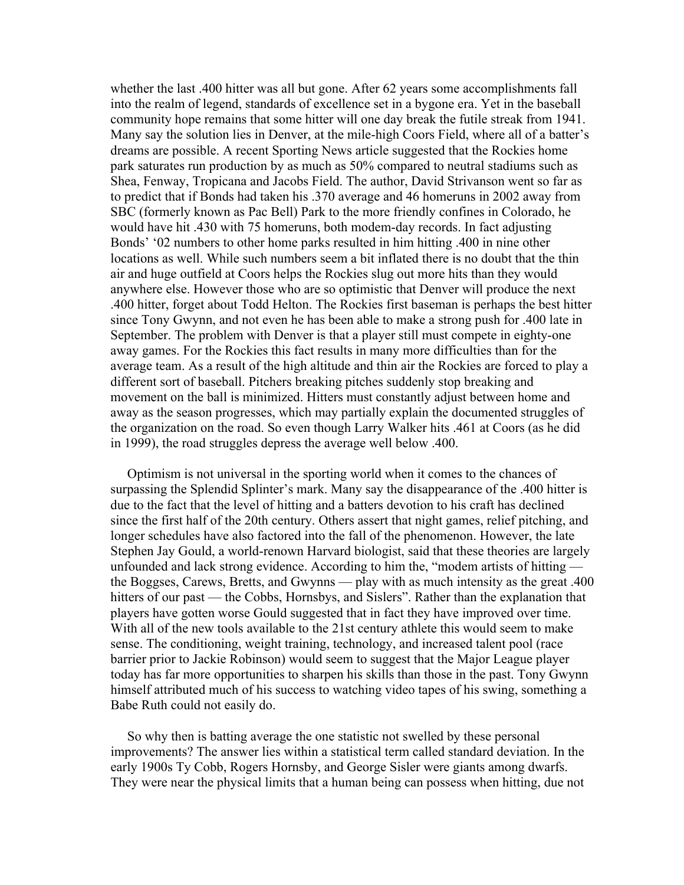whether the last .400 hitter was all but gone. After 62 years some accomplishments fall into the realm of legend, standards of excellence set in a bygone era. Yet in the baseball community hope remains that some hitter will one day break the futile streak from 1941. Many say the solution lies in Denver, at the mile-high Coors Field, where all of a batter's dreams are possible. A recent Sporting News article suggested that the Rockies home park saturates run production by as much as 50% compared to neutral stadiums such as Shea, Fenway, Tropicana and Jacobs Field. The author, David Strivanson went so far as to predict that if Bonds had taken his .370 average and 46 homeruns in 2002 away from SBC (formerly known as Pac Bell) Park to the more friendly confines in Colorado, he would have hit .430 with 75 homeruns, both modem-day records. In fact adjusting Bonds' '02 numbers to other home parks resulted in him hitting .400 in nine other locations as well. While such numbers seem a bit inflated there is no doubt that the thin air and huge outfield at Coors helps the Rockies slug out more hits than they would anywhere else. However those who are so optimistic that Denver will produce the next .400 hitter, forget about Todd Helton. The Rockies first baseman is perhaps the best hitter since Tony Gwynn, and not even he has been able to make a strong push for .400 late in September. The problem with Denver is that a player still must compete in eighty-one away games. For the Rockies this fact results in many more difficulties than for the average team. As a result of the high altitude and thin air the Rockies are forced to play a different sort of baseball. Pitchers breaking pitches suddenly stop breaking and movement on the ball is minimized. Hitters must constantly adjust between home and away as the season progresses, which may partially explain the documented struggles of the organization on the road. So even though Larry Walker hits .461 at Coors (as he did in 1999), the road struggles depress the average well below .400.

Optimism is not universal in the sporting world when it comes to the chances of surpassing the Splendid Splinter's mark. Many say the disappearance of the .400 hitter is due to the fact that the level of hitting and a batters devotion to his craft has declined since the first half of the 20th century. Others assert that night games, relief pitching, and longer schedules have also factored into the fall of the phenomenon. However, the late Stephen Jay Gould, a world-renown Harvard biologist, said that these theories are largely unfounded and lack strong evidence. According to him the, "modem artists of hitting the Boggses, Carews, Bretts, and Gwynns — play with as much intensity as the great .400 hitters of our past — the Cobbs, Hornsbys, and Sislers". Rather than the explanation that players have gotten worse Gould suggested that in fact they have improved over time. With all of the new tools available to the 21st century athlete this would seem to make sense. The conditioning, weight training, technology, and increased talent pool (race barrier prior to Jackie Robinson) would seem to suggest that the Major League player today has far more opportunities to sharpen his skills than those in the past. Tony Gwynn himself attributed much of his success to watching video tapes of his swing, something a Babe Ruth could not easily do.

So why then is batting average the one statistic not swelled by these personal improvements? The answer lies within a statistical term called standard deviation. In the early 1900s Ty Cobb, Rogers Hornsby, and George Sisler were giants among dwarfs. They were near the physical limits that a human being can possess when hitting, due not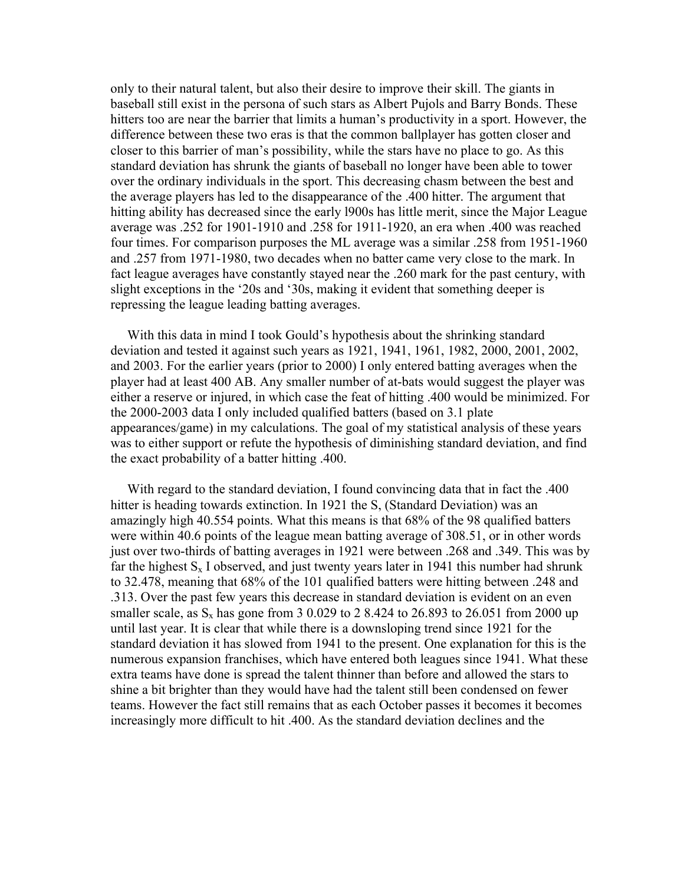only to their natural talent, but also their desire to improve their skill. The giants in baseball still exist in the persona of such stars as Albert Pujols and Barry Bonds. These hitters too are near the barrier that limits a human's productivity in a sport. However, the difference between these two eras is that the common ballplayer has gotten closer and closer to this barrier of man's possibility, while the stars have no place to go. As this standard deviation has shrunk the giants of baseball no longer have been able to tower over the ordinary individuals in the sport. This decreasing chasm between the best and the average players has led to the disappearance of the .400 hitter. The argument that hitting ability has decreased since the early 1900s has little merit, since the Major League average was .252 for 1901-1910 and .258 for 1911-1920, an era when .400 was reached four times. For comparison purposes the ML average was a similar .258 from 1951-1960 and .257 from 1971-1980, two decades when no batter came very close to the mark. In fact league averages have constantly stayed near the .260 mark for the past century, with slight exceptions in the '20s and '30s, making it evident that something deeper is repressing the league leading batting averages.

With this data in mind I took Gould's hypothesis about the shrinking standard deviation and tested it against such years as 1921, 1941, 1961, 1982, 2000, 2001, 2002, and 2003. For the earlier years (prior to 2000) I only entered batting averages when the player had at least 400 AB. Any smaller number of at-bats would suggest the player was either a reserve or injured, in which case the feat of hitting .400 would be minimized. For the 2000-2003 data I only included qualified batters (based on 3.1 plate appearances/game) in my calculations. The goal of my statistical analysis of these years was to either support or refute the hypothesis of diminishing standard deviation, and find the exact probability of a batter hitting .400.

With regard to the standard deviation, I found convincing data that in fact the .400 hitter is heading towards extinction. In 1921 the S, (Standard Deviation) was an amazingly high 40.554 points. What this means is that 68% of the 98 qualified batters were within 40.6 points of the league mean batting average of 308.51, or in other words just over two-thirds of batting averages in 1921 were between .268 and .349. This was by far the highest  $S_x$  I observed, and just twenty years later in 1941 this number had shrunk to 32.478, meaning that 68% of the 101 qualified batters were hitting between .248 and .313. Over the past few years this decrease in standard deviation is evident on an even smaller scale, as  $S_x$  has gone from 3 0.029 to 2 8.424 to 26.893 to 26.051 from 2000 up until last year. It is clear that while there is a downsloping trend since 1921 for the standard deviation it has slowed from 1941 to the present. One explanation for this is the numerous expansion franchises, which have entered both leagues since 1941. What these extra teams have done is spread the talent thinner than before and allowed the stars to shine a bit brighter than they would have had the talent still been condensed on fewer teams. However the fact still remains that as each October passes it becomes it becomes increasingly more difficult to hit .400. As the standard deviation declines and the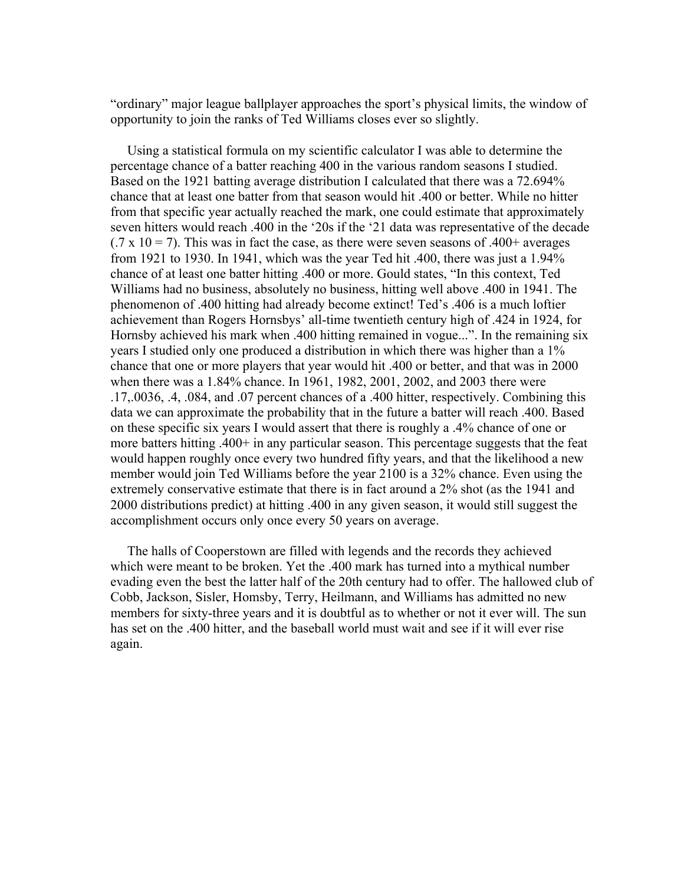"ordinary" major league ballplayer approaches the sport's physical limits, the window of opportunity to join the ranks of Ted Williams closes ever so slightly.

Using a statistical formula on my scientific calculator I was able to determine the percentage chance of a batter reaching 400 in the various random seasons I studied. Based on the 1921 batting average distribution I calculated that there was a 72.694% chance that at least one batter from that season would hit .400 or better. While no hitter from that specific year actually reached the mark, one could estimate that approximately seven hitters would reach .400 in the '20s if the '21 data was representative of the decade  $(0.7 \times 10 = 7)$ . This was in fact the case, as there were seven seasons of 400+ averages from 1921 to 1930. In 1941, which was the year Ted hit .400, there was just a 1.94% chance of at least one batter hitting .400 or more. Gould states, "In this context, Ted Williams had no business, absolutely no business, hitting well above .400 in 1941. The phenomenon of .400 hitting had already become extinct! Ted's .406 is a much loftier achievement than Rogers Hornsbys' all-time twentieth century high of .424 in 1924, for Hornsby achieved his mark when .400 hitting remained in vogue...". In the remaining six years I studied only one produced a distribution in which there was higher than a 1% chance that one or more players that year would hit .400 or better, and that was in 2000 when there was a 1.84% chance. In 1961, 1982, 2001, 2002, and 2003 there were .17, 0036, .4, .084, and .07 percent chances of a .400 hitter, respectively. Combining this data we can approximate the probability that in the future a batter will reach .400. Based on these specific six years I would assert that there is roughly a .4% chance of one or more batters hitting .400+ in any particular season. This percentage suggests that the feat would happen roughly once every two hundred fifty years, and that the likelihood a new member would join Ted Williams before the year 2100 is a 32% chance. Even using the extremely conservative estimate that there is in fact around a 2% shot (as the 1941 and 2000 distributions predict) at hitting .400 in any given season, it would still suggest the accomplishment occurs only once every 50 years on average.

The halls of Cooperstown are filled with legends and the records they achieved which were meant to be broken. Yet the .400 mark has turned into a mythical number evading even the best the latter half of the 20th century had to offer. The hallowed club of Cobb, Jackson, Sisler, Homsby, Terry, Heilmann, and Williams has admitted no new members for sixty-three years and it is doubtful as to whether or not it ever will. The sun has set on the 400 hitter, and the baseball world must wait and see if it will ever rise again.